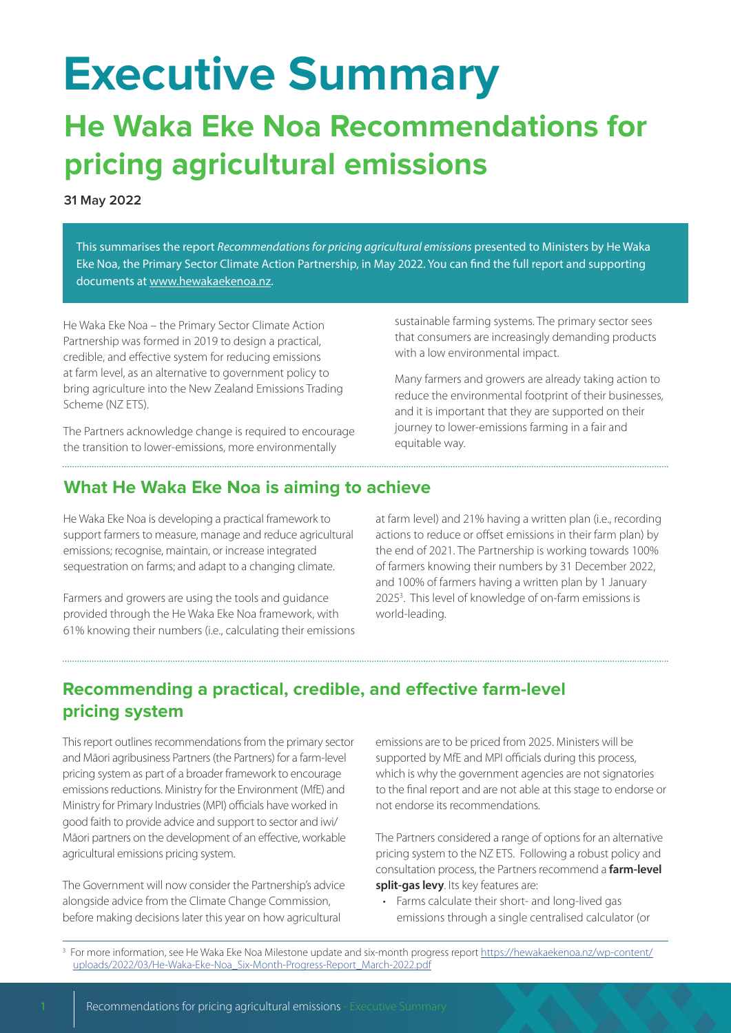# **Executive Summary**

### **He Waka Eke Noa Recommendations for pricing agricultural emissions**

**31 May 2022**

This summarises the report *Recommendations for pricing agricultural emissions* presented to Ministers by He Waka Eke Noa, the Primary Sector Climate Action Partnership, in May 2022. You can find the full report and supporting documents at [www.hewakaekenoa.nz.](https://hewakaekenoa.nz/)

He Waka Eke Noa – the Primary Sector Climate Action Partnership was formed in 2019 to design a practical, credible, and effective system for reducing emissions at farm level, as an alternative to government policy to bring agriculture into the New Zealand Emissions Trading Scheme (NZ ETS).

The Partners acknowledge change is required to encourage the transition to lower-emissions, more environmentally

sustainable farming systems. The primary sector sees that consumers are increasingly demanding products with a low environmental impact.

Many farmers and growers are already taking action to reduce the environmental footprint of their businesses, and it is important that they are supported on their journey to lower-emissions farming in a fair and equitable way.

#### **What He Waka Eke Noa is aiming to achieve**

He Waka Eke Noa is developing a practical framework to support farmers to measure, manage and reduce agricultural emissions; recognise, maintain, or increase integrated sequestration on farms; and adapt to a changing climate.

Farmers and growers are using the tools and guidance provided through the He Waka Eke Noa framework, with 61% knowing their numbers (i.e., calculating their emissions at farm level) and 21% having a written plan (i.e., recording actions to reduce or offset emissions in their farm plan) by the end of 2021. The Partnership is working towards 100% of farmers knowing their numbers by 31 December 2022, and 100% of farmers having a written plan by 1 January 20253 . This level of knowledge of on-farm emissions is world-leading.

#### **Recommending a practical, credible, and effective farm-level pricing system**

This report outlines recommendations from the primary sector and Māori agribusiness Partners (the Partners) for a farm-level pricing system as part of a broader framework to encourage emissions reductions. Ministry for the Environment (MfE) and Ministry for Primary Industries (MPI) officials have worked in good faith to provide advice and support to sector and iwi/ Māori partners on the development of an effective, workable agricultural emissions pricing system.

The Government will now consider the Partnership's advice alongside advice from the Climate Change Commission, before making decisions later this year on how agricultural

emissions are to be priced from 2025. Ministers will be supported by MfE and MPI officials during this process, which is why the government agencies are not signatories to the final report and are not able at this stage to endorse or not endorse its recommendations.

The Partners considered a range of options for an alternative pricing system to the NZ ETS. Following a robust policy and consultation process, the Partners recommend a **farm-level split-gas levy**. Its key features are:

• Farms calculate their short- and long-lived gas emissions through a single centralised calculator (or

<sup>&</sup>lt;sup>3</sup> For more information, see He Waka Eke Noa Milestone update and six-month progress report [https://hewakaekenoa.nz/wp-content/](https://hewakaekenoa.nz/wp-content/uploads/2022/03/He-Waka-Eke-Noa_Six-Month-Progress-Report_March-2022.pdf) [uploads/2022/03/He-Waka-Eke-Noa\\_Six-Month-Progress-Report\\_March-2022.pdf](https://hewakaekenoa.nz/wp-content/uploads/2022/03/He-Waka-Eke-Noa_Six-Month-Progress-Report_March-2022.pdf)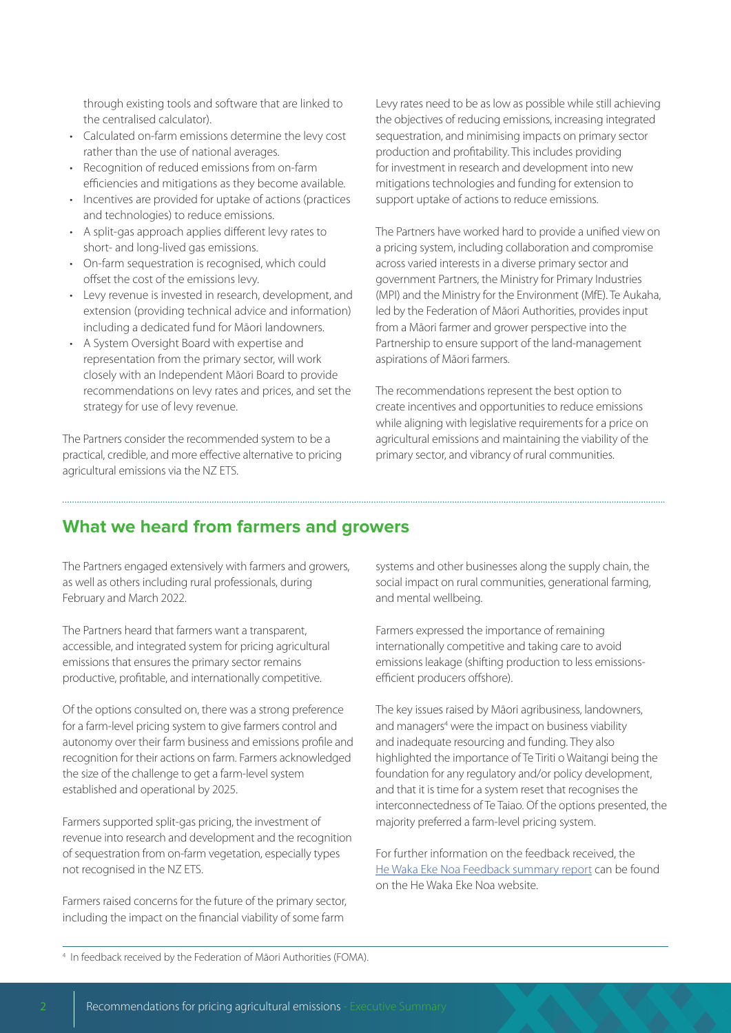through existing tools and software that are linked to the centralised calculator).

- Calculated on-farm emissions determine the levy cost rather than the use of national averages.
- Recognition of reduced emissions from on-farm efficiencies and mitigations as they become available.
- Incentives are provided for uptake of actions (practices and technologies) to reduce emissions.
- A split-gas approach applies different levy rates to short- and long-lived gas emissions.
- On-farm sequestration is recognised, which could offset the cost of the emissions levy.
- Levy revenue is invested in research, development, and extension (providing technical advice and information) including a dedicated fund for Māori landowners.
- A System Oversight Board with expertise and representation from the primary sector, will work closely with an Independent Māori Board to provide recommendations on levy rates and prices, and set the strategy for use of levy revenue.

The Partners consider the recommended system to be a practical, credible, and more effective alternative to pricing agricultural emissions via the NZ ETS.

Levy rates need to be as low as possible while still achieving the objectives of reducing emissions, increasing integrated sequestration, and minimising impacts on primary sector production and profitability. This includes providing for investment in research and development into new mitigations technologies and funding for extension to support uptake of actions to reduce emissions.

The Partners have worked hard to provide a unified view on a pricing system, including collaboration and compromise across varied interests in a diverse primary sector and government Partners, the Ministry for Primary Industries (MPI) and the Ministry for the Environment (MfE). Te Aukaha, led by the Federation of Māori Authorities, provides input from a Māori farmer and grower perspective into the Partnership to ensure support of the land-management aspirations of Māori farmers.

The recommendations represent the best option to create incentives and opportunities to reduce emissions while aligning with legislative requirements for a price on agricultural emissions and maintaining the viability of the primary sector, and vibrancy of rural communities.

#### **What we heard from farmers and growers**

The Partners engaged extensively with farmers and growers, as well as others including rural professionals, during February and March 2022.

The Partners heard that farmers want a transparent, accessible, and integrated system for pricing agricultural emissions that ensures the primary sector remains productive, profitable, and internationally competitive.

Of the options consulted on, there was a strong preference for a farm-level pricing system to give farmers control and autonomy over their farm business and emissions profile and recognition for their actions on farm. Farmers acknowledged the size of the challenge to get a farm-level system established and operational by 2025.

Farmers supported split-gas pricing, the investment of revenue into research and development and the recognition of sequestration from on-farm vegetation, especially types not recognised in the NZ ETS.

Farmers raised concerns for the future of the primary sector, including the impact on the financial viability of some farm

systems and other businesses along the supply chain, the social impact on rural communities, generational farming, and mental wellbeing.

Farmers expressed the importance of remaining internationally competitive and taking care to avoid emissions leakage (shifting production to less emissionsefficient producers offshore).

The key issues raised by Māori agribusiness, landowners, and managers<sup>4</sup> were the impact on business viability and inadequate resourcing and funding. They also highlighted the importance of Te Tiriti o Waitangi being the foundation for any regulatory and/or policy development, and that it is time for a system reset that recognises the interconnectedness of Te Taiao. Of the options presented, the majority preferred a farm-level pricing system.

For further information on the feedback received, the [He Waka Eke Noa Feedback summary report](https://hewakaekenoa.nz/wp-content/uploads/2022/06/FINAL-He-Waka-Eke-Noa-Feedback-summary-report.pdf) can be found on the He Waka Eke Noa website.

4 In feedback received by the Federation of Māori Authorities (FOMA).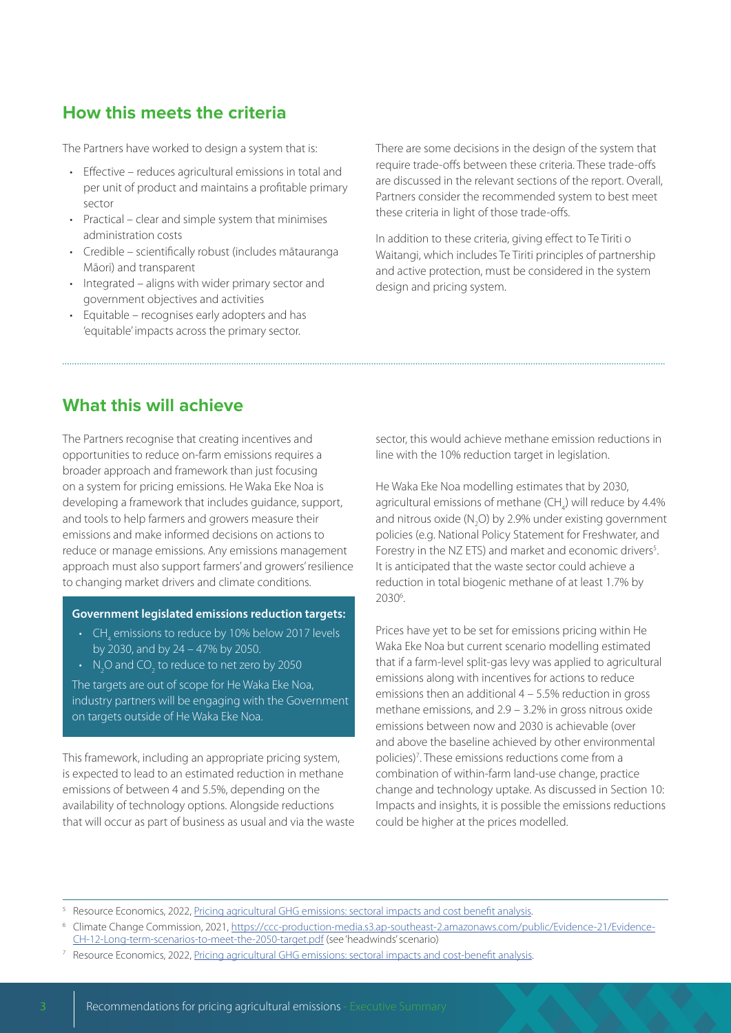#### **How this meets the criteria**

The Partners have worked to design a system that is:

- Effective reduces agricultural emissions in total and per unit of product and maintains a profitable primary sector
- Practical clear and simple system that minimises administration costs
- Credible scientifically robust (includes mātauranga Māori) and transparent
- Integrated aligns with wider primary sector and government objectives and activities
- Equitable recognises early adopters and has 'equitable' impacts across the primary sector.

There are some decisions in the design of the system that require trade-offs between these criteria. These trade-offs are discussed in the relevant sections of the report. Overall, Partners consider the recommended system to best meet these criteria in light of those trade-offs.

In addition to these criteria, giving effect to Te Tiriti o Waitangi, which includes Te Tiriti principles of partnership and active protection, must be considered in the system design and pricing system.

#### **What this will achieve**

The Partners recognise that creating incentives and opportunities to reduce on-farm emissions requires a broader approach and framework than just focusing on a system for pricing emissions. He Waka Eke Noa is developing a framework that includes guidance, support, and tools to help farmers and growers measure their emissions and make informed decisions on actions to reduce or manage emissions. Any emissions management approach must also support farmers' and growers' resilience to changing market drivers and climate conditions.

#### **Government legislated emissions reduction targets:**

- $\mathsf{CH}_{\mathsf{4}}$  emissions to reduce by 10% below 2017 levels by 2030, and by 24 – 47% by 2050.
- $\,$  N<sub>2</sub>O and CO<sub>2</sub> to reduce to net zero by 2050

The targets are out of scope for He Waka Eke Noa, industry partners will be engaging with the Government on targets outside of He Waka Eke Noa.

This framework, including an appropriate pricing system, is expected to lead to an estimated reduction in methane emissions of between 4 and 5.5%, depending on the availability of technology options. Alongside reductions that will occur as part of business as usual and via the waste

sector, this would achieve methane emission reductions in line with the 10% reduction target in legislation.

He Waka Eke Noa modelling estimates that by 2030, agricultural emissions of methane  $(CH_4)$  will reduce by 4.4% and nitrous oxide  $(N_2O)$  by 2.9% under existing government policies (e.g. National Policy Statement for Freshwater, and Forestry in the NZ ETS) and market and economic drivers<sup>5</sup>. It is anticipated that the waste sector could achieve a reduction in total biogenic methane of at least 1.7% by 20306 .

Prices have yet to be set for emissions pricing within He Waka Eke Noa but current scenario modelling estimated that if a farm-level split-gas levy was applied to agricultural emissions along with incentives for actions to reduce emissions then an additional 4 – 5.5% reduction in gross methane emissions, and 2.9 – 3.2% in gross nitrous oxide emissions between now and 2030 is achievable (over and above the baseline achieved by other environmental policies)<sup>7</sup>. These emissions reductions come from a combination of within-farm land-use change, practice change and technology uptake. As discussed in Section 10: Impacts and insights, it is possible the emissions reductions could be higher at the prices modelled.

<sup>5</sup> Resource Economics, 2022, [Pricing agricultural GHG emissions: sectoral impacts and cost benefit analysis.](https://hewakaekenoa.nz/wp-content/uploads/2022/06/FINAL-Pricing-agricultural-GHG-emissions-sectoral-impacts-and-cost-benefit-analysis.pdf)

<sup>7</sup> Resource Economics, 2022, [Pricing agricultural GHG emissions: sectoral impacts and cost-benefit analysis](https://hewakaekenoa.nz/wp-content/uploads/2022/06/FINAL-Pricing-agricultural-GHG-emissions-sectoral-impacts-and-cost-benefit-analysis.pdf).

<sup>6</sup> Climate Change Commission, 2021, [https://ccc-production-media.s3.ap-southeast-2.amazonaws.com/public/Evidence-21/Evidence-](https://ccc-production-media.s3.ap-southeast-2.amazonaws.com/public/Evidence-21/Evidence-CH-12-Long-term-scenarios-to-meet-the-2050-target.pdf)[CH-12-Long-term-scenarios-to-meet-the-2050-target.pdf](https://ccc-production-media.s3.ap-southeast-2.amazonaws.com/public/Evidence-21/Evidence-CH-12-Long-term-scenarios-to-meet-the-2050-target.pdf) (see 'headwinds' scenario)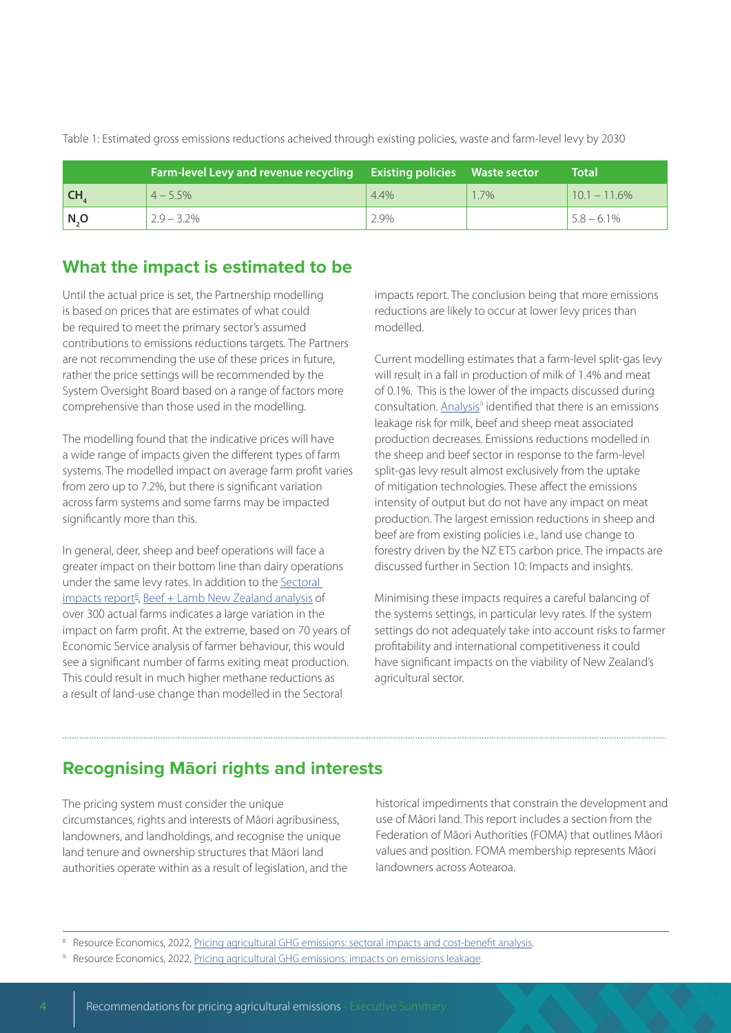|      | Farm-level Levy and revenue recycling Existing policies Waste sector |         |      | <b>Total</b>    |
|------|----------------------------------------------------------------------|---------|------|-----------------|
| l CH | $4 - 5.5%$                                                           | $4.4\%$ | 1.7% | $10.1 - 11.6\%$ |
| N, O | $2.9 - 3.2\%$                                                        | 2.9%    |      | $5.8 - 6.1\%$   |

Table 1: Estimated gross emissions reductions acheived through existing policies, waste and farm-level levy by 2030

#### **What the impact is estimated to be**

Until the actual price is set, the Partnership modelling is based on prices that are estimates of what could be required to meet the primary sector's assumed contributions to emissions reductions targets. The Partners are not recommending the use of these prices in future, rather the price settings will be recommended by the System Oversight Board based on a range of factors more comprehensive than those used in the modelling.

The modelling found that the indicative prices will have a wide range of impacts given the different types of farm systems. The modelled impact on average farm profit varies from zero up to 7.2%, but there is significant variation across farm systems and some farms may be impacted significantly more than this.

In general, deer, sheep and beef operations will face a greater impact on their bottom line than dairy operations under the same levy rates. In addition to the [Sectoral](https://hewakaekenoa.nz/wp-content/uploads/2022/06/FINAL-Pricing-agricultural-GHG-emissions-sectoral-impacts-and-cost-benefit-analysis.pdf)  impacts report<sup>8</sup>, [Beef + Lamb New Zealand analysis](https://beeflambnz.com/sites/default/files/levies/files/BLNZ-Modelling-Report-HWEN.pdf) of over 300 actual farms indicates a large variation in the impact on farm profit. At the extreme, based on 70 years of Economic Service analysis of farmer behaviour, this would see a significant number of farms exiting meat production. This could result in much higher methane reductions as a result of land-use change than modelled in the Sectoral

impacts report. The conclusion being that more emissions reductions are likely to occur at lower levy prices than modelled.

Current modelling estimates that a farm-level split-gas levy will result in a fall in production of milk of 1.4% and meat of 0.1%. This is the lower of the impacts discussed during consultation. Analysis<sup>9</sup> identified that there is an emissions leakage risk for milk, beef and sheep meat associated production decreases. Emissions reductions modelled in the sheep and beef sector in response to the farm-level split-gas levy result almost exclusively from the uptake of mitigation technologies. These affect the emissions intensity of output but do not have any impact on meat production. The largest emission reductions in sheep and beef are from existing policies i.e., land use change to forestry driven by the NZ ETS carbon price. The impacts are discussed further in Section 10: Impacts and insights.

Minimising these impacts requires a careful balancing of the systems settings, in particular levy rates. If the system settings do not adequately take into account risks to farmer profitability and international competitiveness it could have significant impacts on the viability of New Zealand's agricultural sector.

#### **Recognising Māori rights and interests**

The pricing system must consider the unique circumstances, rights and interests of Māori agribusiness, landowners, and landholdings, and recognise the unique land tenure and ownership structures that Māori land authorities operate within as a result of legislation, and the historical impediments that constrain the development and use of Māori land. This report includes a section from the Federation of Māori Authorities (FOMA) that outlines Māori values and position. FOMA membership represents Māori landowners across Aotearoa.

<sup>&</sup>lt;sup>8</sup> Resource Economics, 2022, [Pricing agricultural GHG emissions: sectoral impacts and cost-benefit analysis](https://hewakaekenoa.nz/wp-content/uploads/2022/06/FINAL-Pricing-agricultural-GHG-emissions-sectoral-impacts-and-cost-benefit-analysis.pdf).

Resource Economics, 2022, [Pricing agricultural GHG emissions: impacts on emissions leakage](https://hewakaekenoa.nz/wp-content/uploads/2022/06/FINAL-Pricing-agricultural-GHG-emissions-impacts-on-emissions-leakage.pdf).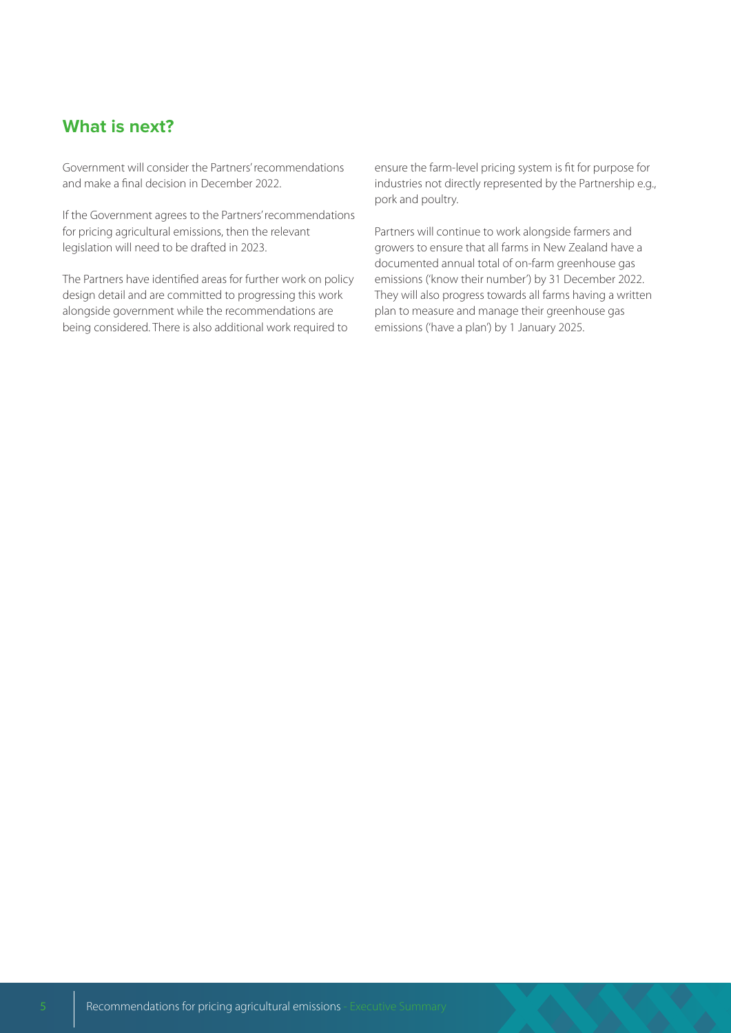#### **What is next?**

Government will consider the Partners' recommendations and make a final decision in December 2022.

If the Government agrees to the Partners' recommendations for pricing agricultural emissions, then the relevant legislation will need to be drafted in 2023.

The Partners have identified areas for further work on policy design detail and are committed to progressing this work alongside government while the recommendations are being considered. There is also additional work required to

ensure the farm-level pricing system is fit for purpose for industries not directly represented by the Partnership e.g., pork and poultry.

Partners will continue to work alongside farmers and growers to ensure that all farms in New Zealand have a documented annual total of on-farm greenhouse gas emissions ('know their number') by 31 December 2022. They will also progress towards all farms having a written plan to measure and manage their greenhouse gas emissions ('have a plan') by 1 January 2025.